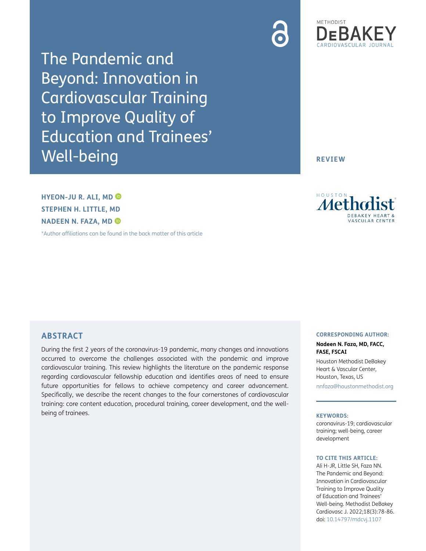

The Pandemic and Beyond: Innovation in Cardiovascular Training to Improve Quality of Education and Trainees' Well-being

**REVIEW**

**HYEON-JU R. ALI, MD STEPHEN H. LITTLE, MD NADEEN N. FAZA, MD** 

[\\*Author affiliations can be found in the back matter of this article](#page-6-0)



# **ABSTRACT**

During the first 2 years of the coronavirus-19 pandemic, many changes and innovations occurred to overcome the challenges associated with the pandemic and improve cardiovascular training. This review highlights the literature on the pandemic response regarding cardiovascular fellowship education and identifies areas of need to ensure future opportunities for fellows to achieve competency and career advancement. Specifically, we describe the recent changes to the four cornerstones of cardiovascular training: core content education, procedural training, career development, and the wellbeing of trainees.

### **CORRESPONDING AUTHOR:**

### **Nadeen N. Faza, MD, FACC, FASE, FSCAI**

Houston Methodist DeBakey Heart & Vascular Center, Houston, Texas, US [nnfaza@houstonmethodist.org](mailto:nnfaza@houstonmethodist.org)

### **KEYWORDS:**

coronavirus-19; cardiovascular training; well-being, career development

### **TO CITE THIS ARTICLE:**

Ali H-JR, Little SH, Faza NN. The Pandemic and Beyond: Innovation in Cardiovascular Training to Improve Quality of Education and Trainees' Well-being. Methodist DeBakey Cardiovasc J. 2022;18(3):78-86. doi: [10.14797/mdcvj.1107](https://doi.org/10.14797/mdcvj.1107)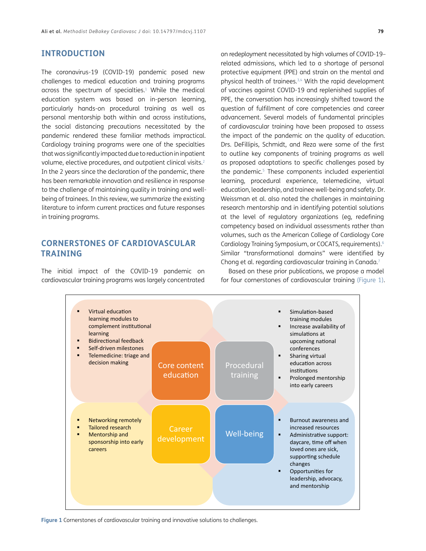# **INTRODUCTION**

The coronavirus-19 (COVID-19) pandemic posed new challenges to medical education and training programs across the spectrum of specialties.<sup>1</sup> While the medical education system was based on in-person learning, particularly hands-on procedural training as well as personal mentorship both within and across institutions, the social distancing precautions necessitated by the pandemic rendered these familiar methods impractical. Cardiology training programs were one of the specialties that was significantly impacted due to reduction in inpatient volume, elective procedures, and outpatient clinical visits.<sup>[2](#page-6-2)</sup> In the 2 years since the declaration of the pandemic, there has been remarkable innovation and resilience in response to the challenge of maintaining quality in training and wellbeing of trainees. In this review, we summarize the existing literature to inform current practices and future responses in training programs.

# **CORNERSTONES OF CARDIOVASCULAR TRAINING**

The initial impact of the COVID-19 pandemic on cardiovascular training programs was largely concentrated on redeployment necessitated by high volumes of COVID-19– related admissions, which led to a shortage of personal protective equipment (PPE) and strain on the mental and physical health of trainees.<sup>3,4</sup> With the rapid development of vaccines against COVID-19 and replenished supplies of PPE, the conversation has increasingly shifted toward the question of fulfillment of core competencies and career advancement. Several models of fundamental principles of cardiovascular training have been proposed to assess the impact of the pandemic on the quality of education. Drs. DeFillipis, Schmidt, and Reza were some of the first to outline key components of training programs as well as proposed adaptations to specific challenges posed by the pandemic.<sup>5</sup> These components included experiential learning, procedural experience, telemedicine, virtual education, leadership, and trainee well-being and safety. Dr. Weissman et al. also noted the challenges in maintaining research mentorship and in identifying potential solutions at the level of regulatory organizations (eg, redefining competency based on individual assessments rather than volumes, such as the American College of Cardiology Core Cardiology Training Symposium, or COCATS, requirements)[.6](#page-6-6) Similar "transformational domains" were identified by Chong et al. regarding cardiovascular training in Canada.[7](#page-6-7)

Based on these prior publications, we propose a model for four cornerstones of cardiovascular training [\(Figure 1\)](#page-1-0).



<span id="page-1-0"></span>**Figure 1** Cornerstones of cardiovascular training and innovative solutions to challenges.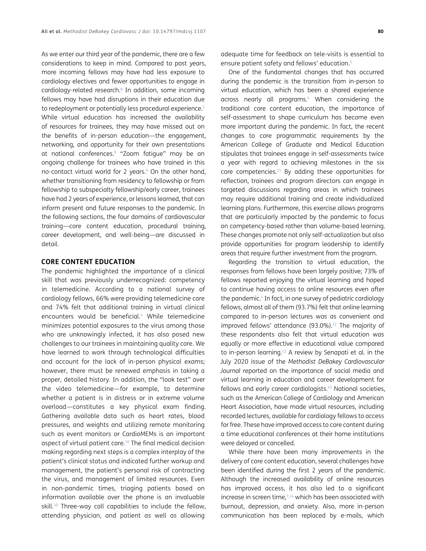As we enter our third year of the pandemic, there are a few considerations to keep in mind. Compared to past years, more incoming fellows may have had less exposure to cardiology electives and fewer opportunities to engage in cardiology-related research.<sup>8</sup> In addition, some incoming fellows may have had disruptions in their education due to redeployment or potentially less procedural experience.<sup>[1](#page-6-1)</sup> While virtual education has increased the availability of resources for trainees, they may have missed out on the benefits of in-person education—the engagement, networking, and opportunity for their own presentations at national conferences[.9](#page-6-9) "Zoom fatigue" may be an ongoing challenge for trainees who have trained in this no-contact virtual world for 2 years.<sup>5</sup> On the other hand, whether transitioning from residency to fellowship or from fellowship to subspecialty fellowship/early career, trainees have had 2 years of experience, or lessons learned, that can inform present and future responses to the pandemic. In the following sections, the four domains of cardiovascular training—core content education, procedural training, career development, and well-being—are discussed in detail.

## **CORE CONTENT EDUCATION**

The pandemic highlighted the importance of a clinical skill that was previously underrecognized: competency in telemedicine. According to a national survey of cardiology fellows, 66% were providing telemedicine care and 74% felt that additional training in virtual clinical encounters would be beneficial.<sup>[4](#page-6-5)</sup> While telemedicine minimizes potential exposures to the virus among those who are unknowingly infected, it has also posed new challenges to our trainees in maintaining quality care. We have learned to work through technological difficulties and account for the lack of in-person physical exams; however, there must be renewed emphasis in taking a proper, detailed history. In addition, the "look test" over the video telemedicine—for example, to determine whether a patient is in distress or in extreme volume overload—constitutes a key physical exam finding. Gathering available data such as heart rates, blood pressures, and weights and utilizing remote monitoring such as event monitors or CardioMEMs is an important aspect of virtual patient care.<sup>[10](#page-6-10)</sup> The final medical decision making regarding next steps is a complex interplay of the patient's clinical status and indicated further workup and management, the patient's personal risk of contracting the virus, and management of limited resources. Even in non-pandemic times, triaging patients based on information available over the phone is an invaluable skill.<sup>10</sup> Three-way call capabilities to include the fellow, attending physician, and patient as well as allowing

adequate time for feedback on tele-visits is essential to ensure patient safety and fellows' education.<sup>5</sup>

One of the fundamental changes that has occurred during the pandemic is the transition from in-person to virtual education, which has been a shared experience across nearly all programs.<sup>4</sup> When considering the traditional core content education, the importance of self-assessment to shape curriculum has become even more important during the pandemic. In fact, the recent changes to core programmatic requirements by the American College of Graduate and Medical Education stipulates that trainees engage in self-assessments twice a year with regard to achieving milestones in the six core competencies[.11](#page-6-11) By adding these opportunities for reflection, trainees and program directors can engage in targeted discussions regarding areas in which trainees may require additional training and create individualized learning plans. Furthermore, this exercise allows programs that are particularly impacted by the pandemic to focus on competency-based rather than volume-based learning. These changes promote not only self-actualization but also provide opportunities for program leadership to identify areas that require further investment from the program.

Regarding the transition to virtual education, the responses from fellows have been largely positive; 73% of fellows reported enjoying the virtual learning and hoped to continue having access to online resources even after the pandemic[.4](#page-6-4) In fact, in one survey of pediatric cardiology fellows, almost all of them (93.7%) felt that online learning compared to in-person lectures was as convenient and improved fellows' attendance (93.0%).<sup>12</sup> The majority of these respondents also felt that virtual education was equally or more effective in educational value compared to in-person learning.[12](#page-6-12) A review by Senapati et al. in the July 2020 issue of the *Methodist DeBakey Cardiovascular Journal* reported on the importance of social media and virtual learning in education and career development for fellows and early career cardiologists[.13](#page-6-13) National societies, such as the American College of Cardiology and American Heart Association, have made virtual resources, including recorded lectures, available for cardiology fellows to access for free. These have improved access to core content during a time educational conferences at their home institutions were delayed or cancelled.

While there have been many improvements in the delivery of core content education, several challenges have been identified during the first 2 years of the pandemic. Although the increased availability of online resources has improved access, it has also led to a significant increase in screen time, $7,14$  $7,14$  which has been associated with burnout, depression, and anxiety. Also, more in-person communication has been replaced by e-mails, which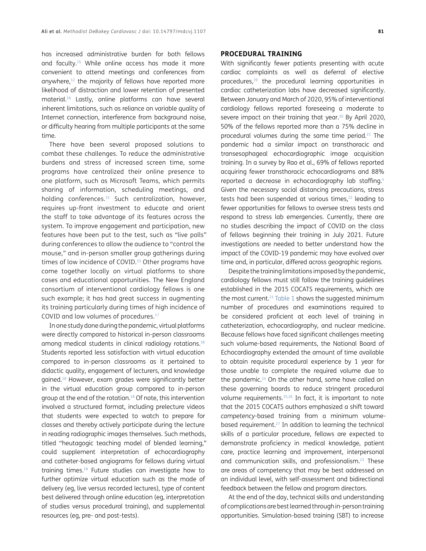has increased administrative burden for both fellows and faculty.[15](#page-7-1) While online access has made it more convenient to attend meetings and conferences from anywhere, $12$  the majority of fellows have reported more likelihood of distraction and lower retention of presented material.[16](#page-7-2) Lastly, online platforms can have several inherent limitations, such as reliance on variable quality of Internet connection, interference from background noise, or difficulty hearing from multiple participants at the same time.

There have been several proposed solutions to combat these challenges. To reduce the administrative burdens and stress of increased screen time, some programs have centralized their online presence to one platform, such as Microsoft Teams, which permits sharing of information, scheduling meetings, and holding conferences.[15](#page-7-1) Such centralization, however, requires up-front investment to educate and orient the staff to take advantage of its features across the system. To improve engagement and participation, new features have been put to the test, such as "live polls" during conferences to allow the audience to "control the mouse," and in-person smaller group gatherings during times of low incidence of COVID.<sup>15</sup> Other programs have come together locally on virtual platforms to share cases and educational opportunities. The New England consortium of interventional cardiology fellows is one such example; it has had great success in augmenting its training particularly during times of high incidence of COVID and low volumes of procedures.[17](#page-7-3)

In one study done during the pandemic, virtual platforms were directly compared to historical in-person classrooms among medical students in clinical radiology rotations.18 Students reported less satisfaction with virtual education compared to in-person classrooms as it pertained to didactic quality, engagement of lecturers, and knowledge gained.18 However, exam grades were significantly better in the virtual education group compared to in-person group at the end of the rotation.18 Of note, this intervention involved a structured format, including prelecture videos that students were expected to watch to prepare for classes and thereby actively participate during the lecture in reading radiographic images themselves. Such methods, titled "heutagogic teaching model of blended learning," could supplement interpretation of echocardiography and catheter-based angiograms for fellows during virtual training times.18 Future studies can investigate how to further optimize virtual education such as the mode of delivery (eg, live versus recorded lectures), type of content best delivered through online education (eg, interpretation of studies versus procedural training), and supplemental resources (eg, pre- and post-tests).

### **PROCEDURAL TRAINING**

With significantly fewer patients presenting with acute cardiac complaints as well as deferral of elective procedures,<sup>19</sup> the procedural learning opportunities in cardiac catheterization labs have decreased significantly. Between January and March of 2020, 95% of interventional cardiology fellows reported foreseeing a moderate to severe impact on their training that year.<sup>20</sup> By April 2020, 50% of the fellows reported more than a 75% decline in procedural volumes during the same time period.<sup>21</sup> The pandemic had a similar impact on transthoracic and transesophageal echocardiographic image acquisition training. In a survey by Rao et al., 69% of fellows reported acquiring fewer transthoracic echocardiograms and 88% reported a decrease in echocardiography lab staffing.<sup>4</sup> Given the necessary social distancing precautions, stress tests had been suspended at various times,<sup>22</sup> leading to fewer opportunities for fellows to oversee stress tests and respond to stress lab emergencies. Currently, there are no studies describing the impact of COVID on the class of fellows beginning their training in July 2021. Future investigations are needed to better understand how the impact of the COVID-19 pandemic may have evolved over time and, in particular, differed across geographic regions.

Despite the training limitations imposed by the pandemic, cardiology fellows must still follow the training guidelines established in the 2015 COCATS requirements, which are the most current.<sup>23</sup> [Table 1](#page-4-0) shows the suggested minimum number of procedures and examinations required to be considered proficient at each level of training in catheterization, echocardiography, and nuclear medicine. Because fellows have faced significant challenges meeting such volume-based requirements, the National Board of Echocardiography extended the amount of time available to obtain requisite procedural experience by 1 year for those unable to complete the required volume due to the pandemic.<sup>24</sup> On the other hand, some have called on these governing boards to reduce stringent procedural volume requirements.<sup>25,26</sup> In fact, it is important to note that the 2015 COCATS authors emphasized a shift toward *competency*-based training from a minimum volumebased requirement.[27](#page-7-12) In addition to learning the technical skills of a particular procedure, fellows are expected to demonstrate proficiency in medical knowledge, patient care, practice learning and improvement, interpersonal and communication skills, and professionalism.[23](#page-7-8) These are areas of competency that may be best addressed on an individual level, with self-assessment and bidirectional feedback between the fellow and program directors.

At the end of the day, technical skills and understanding of complications are best learned through in-person training opportunities. Simulation-based training (SBT) to increase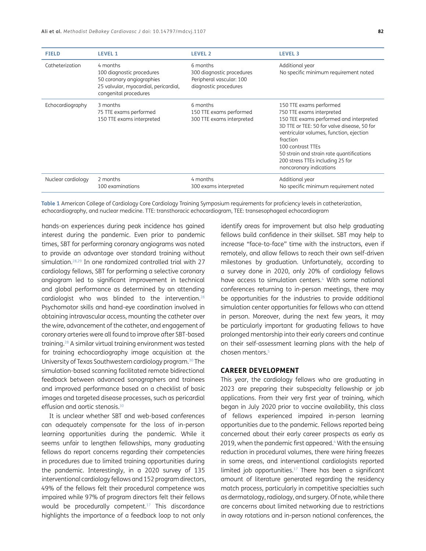| <b>FIELD</b>       | <b>LEVEL 1</b>                                                                                                                       | <b>LEVEL 2</b>                                                                             | <b>LEVEL 3</b>                                                                                                                                                                                                                                                                                                                         |
|--------------------|--------------------------------------------------------------------------------------------------------------------------------------|--------------------------------------------------------------------------------------------|----------------------------------------------------------------------------------------------------------------------------------------------------------------------------------------------------------------------------------------------------------------------------------------------------------------------------------------|
| Catheterization    | 4 months<br>100 diagnostic procedures<br>50 coronary angiographies<br>25 valvular, myocardial, pericardial,<br>congenital procedures | 6 months<br>300 diagnostic procedures<br>Peripheral vascular: 100<br>diagnostic procedures | Additional year<br>No specific minimum requirement noted                                                                                                                                                                                                                                                                               |
| Echocardiography   | 3 months<br>75 TTE exams performed<br>150 TTE exams interpreted                                                                      | 6 months<br>150 TTE exams performed<br>300 TTE exams interpreted                           | 150 TTE exams performed<br>750 TTE exams interpreted<br>150 TEE exams performed and interpreted<br>3D TTE or TEE: 50 for valve disease, 50 for<br>ventricular volumes, function, ejection<br>fraction<br>100 contrast TTEs<br>50 strain and strain rate quantifications<br>200 stress TTEs including 25 for<br>noncoronary indications |
| Nuclear cardiology | 2 months<br>100 examinations                                                                                                         | 4 months<br>300 exams interpreted                                                          | Additional year<br>No specific minimum requirement noted                                                                                                                                                                                                                                                                               |

<span id="page-4-0"></span>**Table 1** American College of Cardiology Core Cardiology Training Symposium requirements for proficiency levels in catheterization, echocardiography, and nuclear medicine. TTE: transthoracic echocardiogram, TEE: transesophageal echocardiogram

hands-on experiences during peak incidence has gained interest during the pandemic. Even prior to pandemic times, SBT for performing coronary angiograms was noted to provide an advantage over standard training without simulation.28,[29](#page-7-13) In one randomized controlled trial with 27 cardiology fellows, SBT for performing a selective coronary angiogram led to significant improvement in technical and global performance as determined by an attending cardiologist who was blinded to the intervention.<sup>28</sup> Psychomotor skills and hand-eye coordination involved in obtaining intravascular access, mounting the catheter over the wire, advancement of the catheter, and engagement of coronary arteries were all found to improve after SBT-based training.28 A similar virtual training environment was tested for training echocardiography image acquisition at the University of Texas Southwestern cardiology program.[30](#page-7-14) The simulation-based scanning facilitated remote bidirectional feedback between advanced sonographers and trainees and improved performance based on a checklist of basic images and targeted disease processes, such as pericardial effusion and aortic stenosis.<sup>[30](#page-7-14)</sup>

It is unclear whether SBT and web-based conferences can adequately compensate for the loss of in-person learning opportunities during the pandemic. While it seems unfair to lengthen fellowships, many graduating fellows do report concerns regarding their competencies in procedures due to limited training opportunities during the pandemic. Interestingly, in a 2020 survey of 135 interventional cardiology fellows and 152 program directors, 49% of the fellows felt their procedural competence was impaired while 97% of program directors felt their fellows would be procedurally competent.[17](#page-7-3) This discordance highlights the importance of a feedback loop to not only

identify areas for improvement but also help graduating fellows build confidence in their skillset. SBT may help to increase "face-to-face" time with the instructors, even if remotely, and allow fellows to reach their own self-driven milestones by graduation. Unfortunately, according to a survey done in 2020, only 20% of cardiology fellows have access to simulation centers.<sup>4</sup> With some national conferences returning to in-person meetings, there may be opportunities for the industries to provide additional simulation center opportunities for fellows who can attend in person. Moreover, during the next few years, it may be particularly important for graduating fellows to have prolonged mentorship into their early careers and continue on their self-assessment learning plans with the help of chosen mentors.[5](#page-6-5)

## **CAREER DEVELOPMENT**

This year, the cardiology fellows who are graduating in 2023 are preparing their subspecialty fellowship or job applications. From their very first year of training, which began in July 2020 prior to vaccine availability, this class of fellows experienced impaired in-person learning opportunities due to the pandemic. Fellows reported being concerned about their early career prospects as early as 2019, when the pandemic first appeared.<sup>4</sup> With the ensuing reduction in procedural volumes, there were hiring freezes in some areas, and interventional cardiologists reported limited job opportunities. $17$  There has been a significant amount of literature generated regarding the residency match process, particularly in competitive specialties such as dermatology, radiology, and surgery. Of note, while there are concerns about limited networking due to restrictions in away rotations and in-person national conferences, the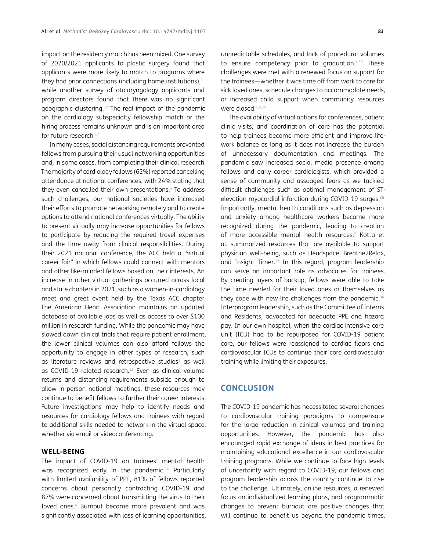impact on the residency match has been mixed. One survey of 2020/2021 applicants to plastic surgery found that applicants were more likely to match to programs where they had prior connections (including home institutions), $31$ while another survey of otolaryngology applicants and program directors found that there was no significant geographic clustering[.32](#page-7-16) The real impact of the pandemic on the cardiology subspecialty fellowship match or the hiring process remains unknown and is an important area for future research.<sup>17</sup>

In many cases, social distancing requirements prevented fellows from pursuing their usual networking opportunities and, in some cases, from completing their clinical research. The majority of cardiology fellows (62%) reported cancelling attendance at national conferences, with 24% stating that they even cancelled their own presentations.<sup>4</sup> To address such challenges, our national societies have increased their efforts to promote networking remotely and to create options to attend national conferences virtually. The ability to present virtually may increase opportunities for fellows to participate by reducing the required travel expenses and the time away from clinical responsibilities. During their 2021 national conference, the ACC held a "virtual career fair" in which fellows could connect with mentors and other like-minded fellows based on their interests. An increase in other virtual gatherings occurred across local and state chapters in 2021, such as a women-in-cardiology meet and greet event held by the Texas ACC chapter. The American Heart Association maintains an updated database of available jobs as well as access to over \$100 million in research funding. While the pandemic may have slowed down clinical trials that require patient enrollment, the lower clinical volumes can also afford fellows the opportunity to engage in other types of research, such as literature reviews and retrospective studies<sup>9</sup> as well as COVID-19-related research.<sup>33</sup> Even as clinical volume returns and distancing requirements subside enough to allow in-person national meetings, these resources may continue to benefit fellows to further their career interests. Future investigations may help to identify needs and resources for cardiology fellows and trainees with regard to additional skills needed to network in the virtual space, whether via email or videoconferencing.

## **WELL-BEING**

The impact of COVID-19 on trainees' mental health was recognized early in the pandemic.<sup>34</sup> Particularly with limited availability of PPE, 81% of fellows reported concerns about personally contracting COVID-19 and 87% were concerned about transmitting the virus to their loved ones.<sup>4</sup> Burnout became more prevalent and was significantly associated with loss of learning opportunities, unpredictable schedules, and lack of procedural volumes to ensure competency prior to graduation.<sup>1[,35](#page-7-19)</sup> These challenges were met with a renewed focus on support for the trainees—whether it was time off from work to care for sick loved ones, schedule changes to accommodate needs, or increased child support when community resources were closed.<sup>[2,](#page-6-2)[6](#page-6-6)[,36](#page-7-20)</sup>

The availability of virtual options for conferences, patient clinic visits, and coordination of care has the potential to help trainees become more efficient and improve lifework balance as long as it does not increase the burden of unnecessary documentation and meetings. The pandemic saw increased social media presence among fellows and early career cardiologists, which provided a sense of community and assuaged fears as we tackled difficult challenges such as optimal management of STelevation myocardial infarction during COVID-19 surges.<sup>36</sup> Importantly, mental health conditions such as depression and anxiety among healthcare workers became more recognized during the pandemic, leading to creation of more accessible mental health resources.<sup>2</sup> Kotta et al. summarized resources that are available to support physician well-being, such as Headspace, Breathe2Relax, and Insight Timer.<sup>37</sup> In this regard, program leadership can serve an important role as advocates for trainees. By creating layers of backup, fellows were able to take the time needed for their loved ones or themselves as they cope with new life challenges from the pandemic.<sup>36</sup> Interprogram leadership, such as the Committee of Interns and Residents, advocated for adequate PPE and hazard pay. In our own hospital, when the cardiac intensive care unit (ICU) had to be repurposed for COVID-19 patient care, our fellows were reassigned to cardiac floors and cardiovascular ICUs to continue their core cardiovascular training while limiting their exposures.

## **CONCLUSION**

The COVID-19 pandemic has necessitated several changes to cardiovascular training paradigms to compensate for the large reduction in clinical volumes and training opportunities. However, the pandemic has also encouraged rapid exchange of ideas in best practices for maintaining educational excellence in our cardiovascular training programs. While we continue to face high levels of uncertainty with regard to COVID-19, our fellows and program leadership across the country continue to rise to the challenge. Ultimately, online resources, a renewed focus on individualized learning plans, and programmatic changes to prevent burnout are positive changes that will continue to benefit us beyond the pandemic times.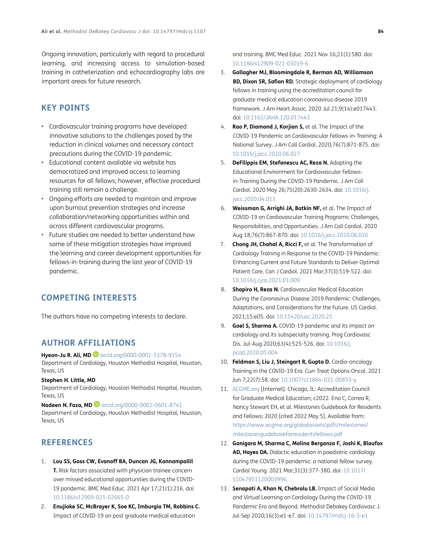Ongoing innovation, particularly with regard to procedural learning, and increasing access to simulation-based training in catheterization and echocardiography labs are important areas for future research.

# **KEY POINTS**

- **•**  Cardiovascular training programs have developed innovative solutions to the challenges posed by the reduction in clinical volumes and necessary contact precautions during the COVID-19 pandemic.
- **Educational content available via website has** democratized and improved access to learning resources for all fellows; however, effective procedural training still remain a challenge.
- **•**  Ongoing efforts are needed to maintain and improve upon burnout prevention strategies and increase collaboration/networking opportunities within and across different cardiovascular programs.
- Future studies are needed to better understand how some of these mitigation strategies have improved the learning and career development opportunities for fellows-in-training during the last year of COVID-19 pandemic.

# **COMPETING INTERESTS**

The authors have no competing interests to declare.

# <span id="page-6-0"></span>**AUTHOR AFFILIATIONS**

**Hyeon-Ju R. Ali, MD** [orcid.org/0000-0002-3378-9154](http://orcid.org/0000-0002-3378-9154) Department of Cardiology, Houston Methodist Hospital, Houston, Texas, US

### **Stephen H. Little, MD**

Department of Cardiology, Houston Methodist Hospital, Houston, Texas, US

**Nadeen N. Faza, MD <sup>1</sup>** [orcid.org/0000-0002-0601-8741](http://orcid.org/0000-0002-0601-8741) Department of Cardiology, Houston Methodist Hospital, Houston, Texas, US

# **REFERENCES**

- <span id="page-6-1"></span>1. **Lou SS, Goss CW, Evanoff BA, Duncan JG, Kannampallil T.** Risk factors associated with physician trainee concern over missed educational opportunities during the COVID-19 pandemic. BMC Med Educ. 2021 Apr 17;21(1):216. doi: [10.1186/s12909-021-02665-0](https://doi.org/10.1186/s12909-021-02665-0)
- <span id="page-6-2"></span>2. **Enujioke SC, McBrayer K, Soe KC, Imburgia TM, Robbins C.** Impact of COVID-19 on post graduate medical education

and training. BMC Med Educ. 2021 Nov 16;21(1):580. doi: [10.1186/s12909-021-03019-6](https://doi.org/10.1186/s12909-021-03019-6)

- <span id="page-6-3"></span>3. **Gallagher MJ, Bloomingdale R, Berman AD, Williamson BD, Dixon SR, Safian RD.** Strategic deployment of cardiology fellows in training using the accreditation council for graduate medical education coronavirus disease 2019 framework. J Am Heart Assoc. 2020 Jul 21;9(14):e017443. doi: [10.1161/JAHA.120.017443](https://doi.org/10.1161/JAHA.120.017443)
- <span id="page-6-4"></span>4. **Rao P, Diamond J, Korjian S,** et al. The Impact of the COVID-19 Pandemic on Cardiovascular Fellows-in-Training: A National Survey. J Am Coll Cardiol. 2020;76(7):871-875. doi: [10.1016/j.jacc.2020.06.027](https://doi.org/10.1016/j.jacc.2020.06.027)
- <span id="page-6-5"></span>5. **DeFilippis EM, Stefanescu AC, Reza N.** Adapting the Educational Environment for Cardiovascular Fellowsin-Training During the COVID-19 Pandemic. J Am Coll Cardiol. 2020 May 26;75(20):2630-2634. doi: [10.1016/j.](https://doi.org/10.1016/j.jacc.2020.04.013) [jacc.2020.04.013](https://doi.org/10.1016/j.jacc.2020.04.013)
- <span id="page-6-6"></span>6. **Weissman G, Arrighi JA, Botkin NF,** et al. The Impact of COVID-19 on Cardiovascular Training Programs: Challenges, Responsibilities, and Opportunities. J Am Coll Cardiol. 2020 Aug 18;76(7):867-870. doi: [10.1016/j.jacc.2020.06.026](https://doi.org/10.1016/j.jacc.2020.06.026)
- <span id="page-6-7"></span>7. **Chong JH, Chahal A, Ricci F,** et al. The Transformation of Cardiology Training in Response to the COVID-19 Pandemic: Enhancing Current and Future Standards to Deliver Optimal Patient Care. Can J Cardiol. 2021 Mar;37(3):519-522. doi: [10.1016/j.cjca.2021.01.009](https://doi.org/10.1016/j.cjca.2021.01.009)
- <span id="page-6-8"></span>8. **Shapiro H, Reza N.** Cardiovascular Medical Education During the Coronavirus Disease 2019 Pandemic: Challenges, Adaptations, and Considerations for the Future. US Cardiol. 2021;15:e05. doi: [10.15420/usc.2020.25](https://doi.org/10.15420/usc.2020.25)
- <span id="page-6-9"></span>9. **Goel S, Sharma A.** COVID-19 pandemic and its impact on cardiology and its subspecialty training. Prog Cardiovasc Dis. Jul-Aug 2020;63(4):525-526. doi: [10.1016/j.](https://doi.org/10.1016/j.pcad.2020.05.004) [pcad.2020.05.004](https://doi.org/10.1016/j.pcad.2020.05.004)
- <span id="page-6-10"></span>10. **Feldman S, Liu J, Steingart R, Gupta D.** Cardio-oncology Training in the COVID-19 Era. Curr Treat Options Oncol. 2021 Jun 7;22(7):58. doi: [10.1007/s11864-021-00855-y](https://doi.org/10.1007/s11864-021-00855-y)
- <span id="page-6-11"></span>11. [ACGME.org](http://ACGME.org) [Internet]. Chicago, IL: Accreditation Council for Graduate Medical Education; c2022. Eno C, Correa R, Nancy Stewart EH, et al. Milestones Guidebook for Residents and Fellows; 2020 [cited 2022 May 5]. Available from: [https://www.acgme.org/globalassets/pdfs/milestones/](https://www.acgme.org/globalassets/pdfs/milestones/milestonesguidebookforresidentsfellows.pdf) [milestonesguidebookforresidentsfellows.pdf](https://www.acgme.org/globalassets/pdfs/milestones/milestonesguidebookforresidentsfellows.pdf)
- <span id="page-6-12"></span>12. **Ganigara M, Sharma C, Molina Berganza F, Joshi K, Blaufox AD, Hayes DA.** Didactic education in paediatric cardiology during the COVID-19 pandemic: a national fellow survey. Cardiol Young. 2021 Mar;31(3):377-380. doi: [10.1017/](https://doi.org/10.1017/S1047951120003996) [S1047951120003996](https://doi.org/10.1017/S1047951120003996)
- <span id="page-6-13"></span>13. **Senapati A, Khan N, Chebrolu LB.** Impact of Social Media and Virtual Learning on Cardiology During the COVID-19 Pandemic Era and Beyond. Methodist Debakey Cardiovasc J. Jul-Sep 2020;16(3):e1-e7. doi: [10.14797/mdcj-16-3-e1](https://doi.org/10.14797/mdcj-16-3-e1)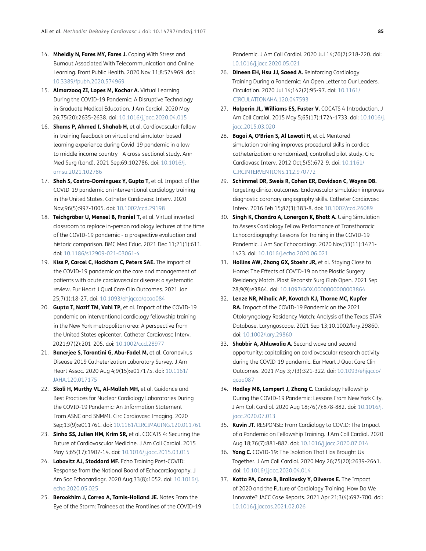- <span id="page-7-0"></span>14. **Mheidly N, Fares MY, Fares J.** Coping With Stress and Burnout Associated With Telecommunication and Online Learning. Front Public Health. 2020 Nov 11;8:574969. doi: [10.3389/fpubh.2020.574969](https://doi.org/10.3389/fpubh.2020.574969)
- <span id="page-7-1"></span>15. **Almarzooq ZI, Lopes M, Kochar A.** Virtual Learning During the COVID-19 Pandemic: A Disruptive Technology in Graduate Medical Education. J Am Cardiol. 2020 May 26;75(20):2635-2638. doi: [10.1016/j.jacc.2020.04.015](https://doi.org/10.1016/j.jacc.2020.04.015)
- <span id="page-7-2"></span>16. **Shams P, Ahmed I, Shahab H,** et al. Cardiovascular fellowin-training feedback on virtual and simulator-based learning experience during Covid-19 pandemic in a low to middle income country - A cross-sectional study. Ann Med Surg (Lond). 2021 Sep;69:102786. [doi: 10.1016/j.](https://doi.org/10.1016/j.amsu.2021.102786) [amsu.2021.102786](https://doi.org/10.1016/j.amsu.2021.102786)
- <span id="page-7-3"></span>17. **Shah S, Castro-Dominguez Y, Gupta T,** et al. Impact of the COVID-19 pandemic on interventional cardiology training in the United States. Catheter Cardiovasc Interv. 2020 Nov;96(5):997-1005. doi: [10.1002/ccd.29198](https://doi.org/10.1002/ccd.29198)
- 18. **Teichgräber U, Mensel B, Franiel T,** et al. Virtual inverted classroom to replace in-person radiology lectures at the time of the COVID-19 pandemic - a prospective evaluation and historic comparison. BMC Med Educ. 2021 Dec 11;21(1):611. doi: [10.1186/s12909-021-03061-4](https://doi.org/10.1186/s12909-021-03061-4)
- <span id="page-7-4"></span>19. **Kiss P, Carcel C, Hockham C, Peters SAE.** The impact of the COVID-19 pandemic on the care and management of patients with acute cardiovascular disease: a systematic review. Eur Heart J Qual Care Clin Outcomes. 2021 Jan 25;7(1):18-27. doi: [10.1093/ehjqcco/qcaa084](https://doi.org/10.1093/ehjqcco/qcaa084)
- <span id="page-7-5"></span>20. **Gupta T, Nazif TM, Vahl TP,** et al. Impact of the COVID-19 pandemic on interventional cardiology fellowship training in the New York metropolitan area: A perspective from the United States epicenter. Catheter Cardiovasc Interv. 2021;97(2):201-205. doi: [10.1002/ccd.28977](https://doi.org/10.1002/ccd.28977)
- <span id="page-7-6"></span>21. **Banerjee S, Tarantini G, Abu-Fadel M,** et al. Coronavirus Disease 2019 Catheterization Laboratory Survey. J Am Heart Assoc. 2020 Aug 4;9(15):e017175. doi: [10.1161/](https://doi.org/10.1161/JAHA.120.017175) [JAHA.120.017175](https://doi.org/10.1161/JAHA.120.017175)
- <span id="page-7-7"></span>22. **Skali H, Murthy VL, Al-Mallah MH,** et al. Guidance and Best Practices for Nuclear Cardiology Laboratories During the COVID-19 Pandemic: An Information Statement From ASNC and SNMMI. Circ Cardiovasc Imaging. 2020 Sep;13(9):e011761. doi: [10.1161/CIRCIMAGING.120.011761](https://doi.org/10.1161/CIRCIMAGING.120.011761)
- <span id="page-7-8"></span>23. **Sinha SS, Julien HM, Krim SR,** et al. COCATS 4: Securing the Future of Cardiovascular Medicine. J Am Coll Cardiol. 2015 May 5;65(17):1907-14. doi: [10.1016/j.jacc.2015.03.015](https://doi.org/10.1016/j.jacc.2015.03.015)
- <span id="page-7-9"></span>24. **Labovitz AJ, Stoddard MF.** Echo Training Post-COVID: Response from the National Board of Echocardiography. J Am Soc Echocardiogr. 2020 Aug;33(8):1052. doi: [10.1016/j.](https://doi.org/10.1016/j.echo.2020.05.025) [echo.2020.05.025](https://doi.org/10.1016/j.echo.2020.05.025)
- <span id="page-7-10"></span>25. **Berookhim J, Correa A, Tamis-Holland JE.** Notes From the Eye of the Storm: Trainees at the Frontlines of the COVID-19

Pandemic. J Am Coll Cardiol. 2020 Jul 14;76(2):218-220. doi: [10.1016/j.jacc.2020.05.021](https://doi.org/10.1016/j.jacc.2020.05.021)

- <span id="page-7-11"></span>26. **Dineen EH, Hsu JJ, Saeed A.** Reinforcing Cardiology Training During a Pandemic: An Open Letter to Our Leaders. Circulation. 2020 Jul 14;142(2):95-97. doi: [10.1161/](https://doi.org/10.1161/CIRCULATIONAHA.120.047593) [CIRCULATIONAHA.120.047593](https://doi.org/10.1161/CIRCULATIONAHA.120.047593)
- <span id="page-7-12"></span>27. **Halperin JL, Williams ES, Fuster V.** COCATS 4 Introduction. J Am Coll Cardiol. 2015 May 5;65(17):1724-1733. doi: [10.1016/j.](https://doi.org/10.1016/j.jacc.2015.03.020) [jacc.2015.03.020](https://doi.org/10.1016/j.jacc.2015.03.020)
- 28. **Bagai A, O'Brien S, Al Lawati H,** et al. Mentored simulation training improves procedural skills in cardiac catheterization: a randomized, controlled pilot study. Circ Cardiovasc Interv. 2012 Oct;5(5):672-9. doi: [10.1161/](https://doi.org/10.1161/CIRCINTERVENTIONS.112.970772) [CIRCINTERVENTIONS.112.970772](https://doi.org/10.1161/CIRCINTERVENTIONS.112.970772)
- <span id="page-7-13"></span>29. **Schimmel DR, Sweis R, Cohen ER, Davidson C, Wayne DB.** Targeting clinical outcomes: Endovascular simulation improves diagnostic coronary angiography skills. Catheter Cardiovasc Interv. 2016 Feb 15;87(3):383-8. doi: [10.1002/ccd.26089](https://doi.org/10.1002/ccd.26089)
- <span id="page-7-14"></span>30. **Singh K, Chandra A, Lonergan K, Bhatt A.** Using Simulation to Assess Cardiology Fellow Performance of Transthoracic Echocardiography: Lessons for Training in the COVID-19 Pandemic. J Am Soc Echocardiogr. 2020 Nov;33(11):1421- 1423. doi: [10.1016/j.echo.2020.06.021](https://doi.org/10.1016/j.echo.2020.06.021)
- <span id="page-7-15"></span>31. **Hollins AW, Zhang GX, Stoehr JR,** et al. Staying Close to Home: The Effects of COVID-19 on the Plastic Surgery Residency Match. Plast Reconstr Surg Glob Open. 2021 Sep 28;9(9):e3864. doi: [10.1097/GOX.0000000000003864](https://doi.org/10.1097/GOX.0000000000003864)
- <span id="page-7-16"></span>32. **Lenze NR, Mihalic AP, Kovatch KJ, Thorne MC, Kupfer RA.** Impact of the COVID-19 Pandemic on the 2021 Otolaryngology Residency Match: Analysis of the Texas STAR Database. Laryngoscope. 2021 Sep 13;10.1002/lary.29860. doi: [10.1002/lary.29860](https://doi.org/10.1002/lary.29860)
- <span id="page-7-17"></span>33. **Shabbir A, Ahluwalia A.** Second wave and second opportunity: capitalizing on cardiovascular research activity during the COVID-19 pandemic. Eur Heart J Qual Care Clin Outcomes. 2021 May 3;7(3):321-322. doi: [10.1093/ehjqcco/](https://doi.org/10.1093/ehjqcco/qcaa087) [qcaa087](https://doi.org/10.1093/ehjqcco/qcaa087)
- <span id="page-7-18"></span>34. **Hadley MB, Lampert J, Zhang C.** Cardiology Fellowship During the COVID-19 Pandemic: Lessons From New York City. J Am Coll Cardiol. 2020 Aug 18;76(7):878-882. doi: [10.1016/j.](https://doi.org/10.1016/j.jacc.2020.07.013) [jacc.2020.07.013](https://doi.org/10.1016/j.jacc.2020.07.013)
- <span id="page-7-19"></span>35. **Kuvin JT.** RESPONSE: From Cardiology to COVID: The Impact of a Pandemic on Fellowship Training. J Am Coll Cardiol. 2020 Aug 18;76(7):881-882. doi: [10.1016/j.jacc.2020.07.014](https://doi.org/10.1016/j.jacc.2020.07.014)
- <span id="page-7-20"></span>36. **Yong C.** COVID-19: The Isolation That Has Brought Us Together. J Am Coll Cardiol. 2020 May 26;75(20):2639-2641. doi: [10.1016/j.jacc.2020.04.014](https://doi.org/10.1016/j.jacc.2020.04.014)
- <span id="page-7-21"></span>37. **Kotta PA, Corso B, Brailovsky Y, Oliveros E.** The Impact of 2020 and the Future of Cardiology Training: How Do We Innovate? JACC Case Reports. 2021 Apr 21;3(4):697-700. doi: [10.1016/j.jaccas.2021.02.026](https://doi.org/10.1016/j.jaccas.2021.02.026)